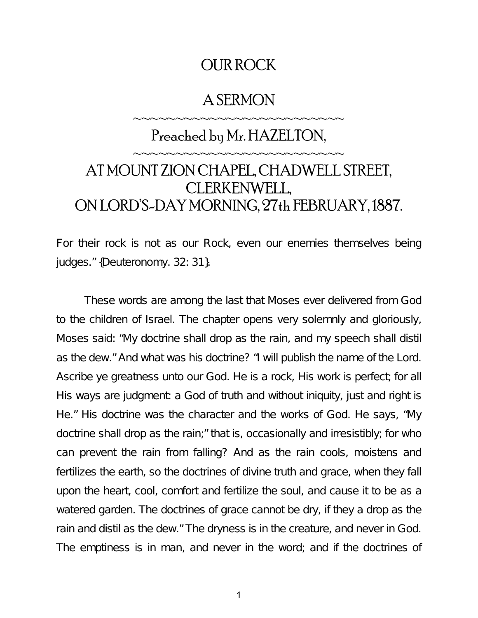# OUR ROCK

# A SERMON

~~~~~~~~~~~~~~~~~~~~~~~~

# Preached by Mr. HAZELTON, ~~~~~~~~~~~~~~~~~~~~~~~~ AT MOUNT ZION CHAPEL, CHADWELL STREET, CLERKENWELL, ON LORD'S-DAY MORNING, 27th FEBRUARY, 1887.

For their rock is not as our Rock, even our enemies themselves being judges." {Deuteronomy. 32: 31}.

These words are among the last that Moses ever delivered from God to the children of Israel. The chapter opens very solemnly and gloriously, Moses said: "My doctrine shall drop as the rain, and my speech shall distil as the dew." And what was his doctrine? "I will publish the name of the Lord. Ascribe ye greatness unto our God. He is a rock, His work is perfect; for all His ways are judgment: a God of truth and without iniquity, just and right is He." His doctrine was the character and the works of God. He says, "My doctrine shall drop as the rain;" that is, occasionally and irresistibly; for who can prevent the rain from falling? And as the rain cools, moistens and fertilizes the earth, so the doctrines of divine truth and grace, when they fall upon the heart, cool, comfort and fertilize the soul, and cause it to be as a watered garden. The doctrines of grace cannot be dry, if they a drop as the rain and distil as the dew." The dryness is in the creature, and never in God. The emptiness is in man, and never in the word; and if the doctrines of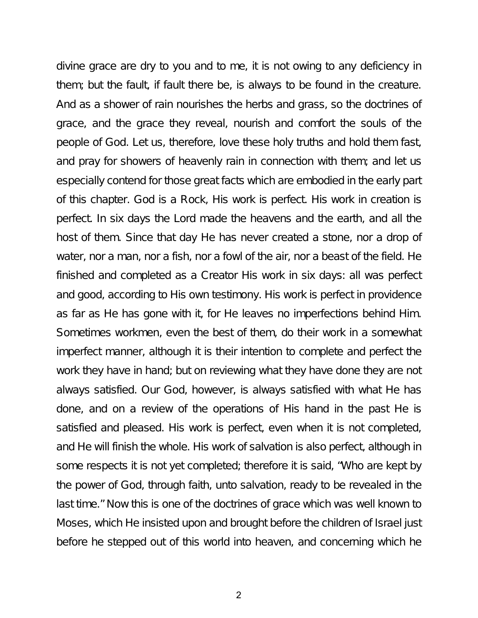divine grace are dry to you and to me, it is not owing to any deficiency in them; but the fault, if fault there be, is always to be found in the creature. And as a shower of rain nourishes the herbs and grass, so the doctrines of grace, and the grace they reveal, nourish and comfort the souls of the people of God. Let us, therefore, love these holy truths and hold them fast, and pray for showers of heavenly rain in connection with them; and let us especially contend for those great facts which are embodied in the early part of this chapter. God is a Rock, His work is perfect. His work in creation is perfect. In six days the Lord made the heavens and the earth, and all the host of them. Since that day He has never created a stone, nor a drop of water, nor a man, nor a fish, nor a fowl of the air, nor a beast of the field. He finished and completed as a Creator His work in six days: all was perfect and good, according to His own testimony. His work is perfect in providence as far as He has gone with it, for He leaves no imperfections behind Him. Sometimes workmen, even the best of them, do their work in a somewhat imperfect manner, although it is their intention to complete and perfect the work they have in hand; but on reviewing what they have done they are not always satisfied. Our God, however, is always satisfied with what He has done, and on a review of the operations of His hand in the past He is satisfied and pleased. His work is perfect, even when it is not completed, and He will finish the whole. His work of salvation is also perfect, although in some respects it is not yet completed; therefore it is said, "Who are kept by the power of God, through faith, unto salvation, ready to be revealed in the last time." Now this is one of the doctrines of grace which was well known to Moses, which He insisted upon and brought before the children of Israel just before he stepped out of this world into heaven, and concerning which he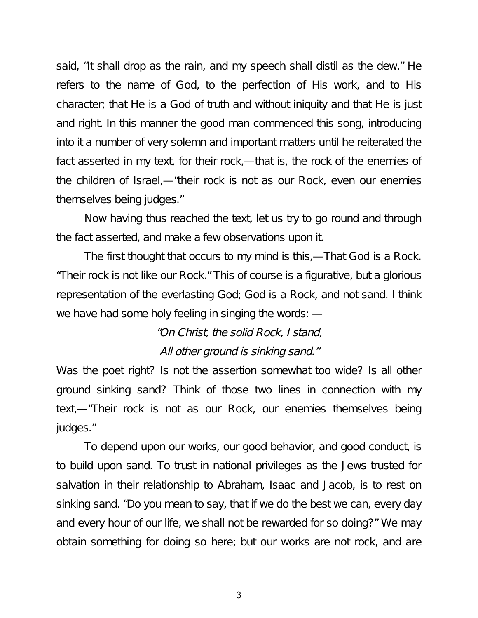said, "It shall drop as the rain, and my speech shall distil as the dew." He refers to the name of God, to the perfection of His work, and to His character; that He is a God of truth and without iniquity and that He is just and right. In this manner the good man commenced this song, introducing into it a number of very solemn and important matters until he reiterated the fact asserted in my text, for their rock,—that is, the rock of the enemies of the children of Israel,—"their rock is not as our Rock, even our enemies themselves being judges."

Now having thus reached the text, let us try to go round and through the fact asserted, and make a few observations upon it.

The first thought that occurs to my mind is this,—That God is a Rock. "Their rock is not like our Rock." This of course is a figurative, but a glorious representation of the everlasting God; God is a Rock, and not sand. I think we have had some holy feeling in singing the words: —

> "On Christ, the solid Rock, I stand, All other ground is sinking sand."

Was the poet right? Is not the assertion somewhat too wide? Is all other ground sinking sand? Think of those two lines in connection with my text,—"Their rock is not as our Rock, our enemies themselves being judges."

To depend upon our works, our good behavior, and good conduct, is to build upon sand. To trust in national privileges as the Jews trusted for salvation in their relationship to Abraham, Isaac and Jacob, is to rest on sinking sand. "Do you mean to say, that if we do the best we can, every day and every hour of our life, we shall not be rewarded for so doing?" We may obtain something for doing so here; but our works are not rock, and are

3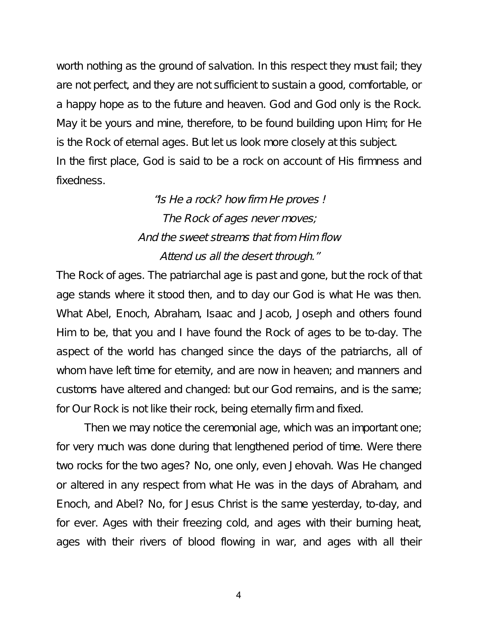worth nothing as the ground of salvation. In this respect they must fail; they are not perfect, and they are not sufficient to sustain a good, comfortable, or a happy hope as to the future and heaven. God and God only is the Rock. May it be yours and mine, therefore, to be found building upon Him; for He is the Rock of eternal ages. But let us look more closely at this subject. In the first place, God is said to be a rock on account of His firmness and fixedness.

> "Is He <sup>a</sup> rock? how firm He proves ! The Rock of ages never moves; And the sweet streams that from Him flow Attend us all the desert through."

The Rock of ages. The patriarchal age is past and gone, but the rock of that age stands where it stood then, and to day our God is what He was then. What Abel, Enoch, Abraham, Isaac and Jacob, Joseph and others found Him to be, that you and I have found the Rock of ages to be to-day. The aspect of the world has changed since the days of the patriarchs, all of whom have left time for eternity, and are now in heaven; and manners and customs have altered and changed: but our God remains, and is the same; for Our Rock is not like their rock, being eternally firm and fixed.

Then we may notice the ceremonial age, which was an important one; for very much was done during that lengthened period of time. Were there two rocks for the two ages? No, one only, even Jehovah. Was He changed or altered in any respect from what He was in the days of Abraham, and Enoch, and Abel? No, for Jesus Christ is the same yesterday, to-day, and for ever. Ages with their freezing cold, and ages with their burning heat, ages with their rivers of blood flowing in war, and ages with all their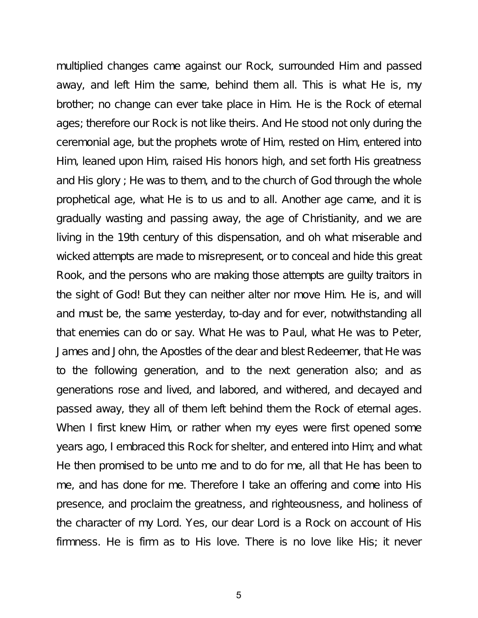multiplied changes came against our Rock, surrounded Him and passed away, and left Him the same, behind them all. This is what He is, my brother; no change can ever take place in Him. He is the Rock of eternal ages; therefore our Rock is not like theirs. And He stood not only during the ceremonial age, but the prophets wrote of Him, rested on Him, entered into Him, leaned upon Him, raised His honors high, and set forth His greatness and His glory ; He was to them, and to the church of God through the whole prophetical age, what He is to us and to all. Another age came, and it is gradually wasting and passing away, the age of Christianity, and we are living in the 19th century of this dispensation, and oh what miserable and wicked attempts are made to misrepresent, or to conceal and hide this great Rook, and the persons who are making those attempts are guilty traitors in the sight of God! But they can neither alter nor move Him. He is, and will and must be, the same yesterday, to-day and for ever, notwithstanding all that enemies can do or say. What He was to Paul, what He was to Peter, James and John, the Apostles of the dear and blest Redeemer, that He was to the following generation, and to the next generation also; and as generations rose and lived, and labored, and withered, and decayed and passed away, they all of them left behind them the Rock of eternal ages. When I first knew Him, or rather when my eyes were first opened some years ago, I embraced this Rock for shelter, and entered into Him; and what He then promised to be unto me and to do for me, all that He has been to me, and has done for me. Therefore I take an offering and come into His presence, and proclaim the greatness, and righteousness, and holiness of the character of my Lord. Yes, our dear Lord is a Rock on account of His firmness. He is firm as to His love. There is no love like His; it never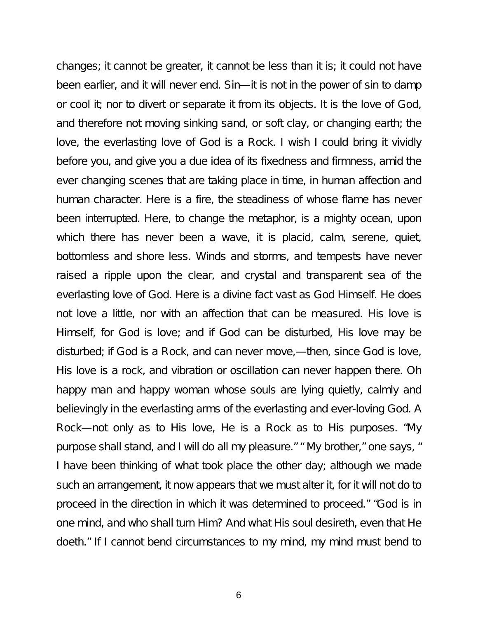changes; it cannot be greater, it cannot be less than it is; it could not have been earlier, and it will never end. Sin—it is not in the power of sin to damp or cool it; nor to divert or separate it from its objects. It is the love of God, and therefore not moving sinking sand, or soft clay, or changing earth; the love, the everlasting love of God is a Rock. I wish I could bring it vividly before you, and give you a due idea of its fixedness and firmness, amid the ever changing scenes that are taking place in time, in human affection and human character. Here is a fire, the steadiness of whose flame has never been interrupted. Here, to change the metaphor, is a mighty ocean, upon which there has never been a wave, it is placid, calm, serene, quiet, bottomless and shore less. Winds and storms, and tempests have never raised a ripple upon the clear, and crystal and transparent sea of the everlasting love of God. Here is a divine fact vast as God Himself. He does not love a little, nor with an affection that can be measured. His love is Himself, for God is love; and if God can be disturbed, His love may be disturbed; if God is a Rock, and can never move,—then, since God is love, His love is a rock, and vibration or oscillation can never happen there. Oh happy man and happy woman whose souls are lying quietly, calmly and believingly in the everlasting arms of the everlasting and ever-loving God. A Rock—not only as to His love, He is a Rock as to His purposes. "My purpose shall stand, and I will do all my pleasure." " My brother," one says, " I have been thinking of what took place the other day; although we made such an arrangement, it now appears that we must alter it, for it will not do to proceed in the direction in which it was determined to proceed." "God is in one mind, and who shall turn Him? And what His soul desireth, even that He doeth." If I cannot bend circumstances to my mind, my mind must bend to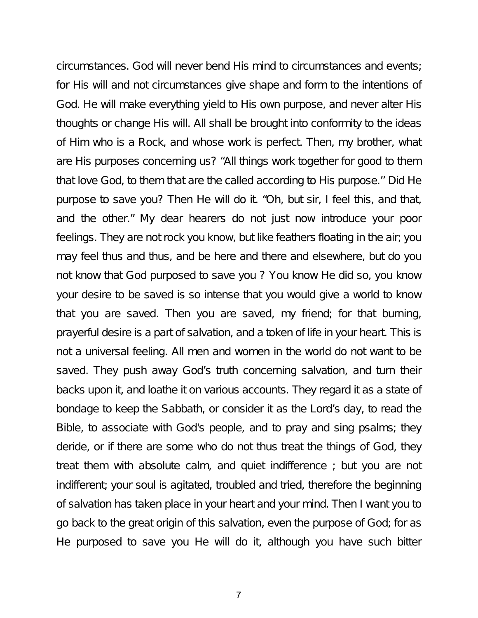circumstances. God will never bend His mind to circumstances and events; for His will and not circumstances give shape and form to the intentions of God. He will make everything yield to His own purpose, and never alter His thoughts or change His will. All shall be brought into conformity to the ideas of Him who is a Rock, and whose work is perfect. Then, my brother, what are His purposes concerning us? "All things work together for good to them that love God, to them that are the called according to His purpose.'' Did He purpose to save you? Then He will do it. "Oh, but sir, I feel this, and that, and the other." My dear hearers do not just now introduce your poor feelings. They are not rock you know, but like feathers floating in the air; you may feel thus and thus, and be here and there and elsewhere, but do you not know that God purposed to save you ? You know He did so, you know your desire to be saved is so intense that you would give a world to know that you are saved. Then you are saved, my friend; for that burning, prayerful desire is a part of salvation, and a token of life in your heart. This is not a universal feeling. All men and women in the world do not want to be saved. They push away God's truth concerning salvation, and turn their backs upon it, and loathe it on various accounts. They regard it as a state of bondage to keep the Sabbath, or consider it as the Lord's day, to read the Bible, to associate with God's people, and to pray and sing psalms; they deride, or if there are some who do not thus treat the things of God, they treat them with absolute calm, and quiet indifference ; but you are not indifferent; your soul is agitated, troubled and tried, therefore the beginning of salvation has taken place in your heart and your mind. Then I want you to go back to the great origin of this salvation, even the purpose of God; for as He purposed to save you He will do it, although you have such bitter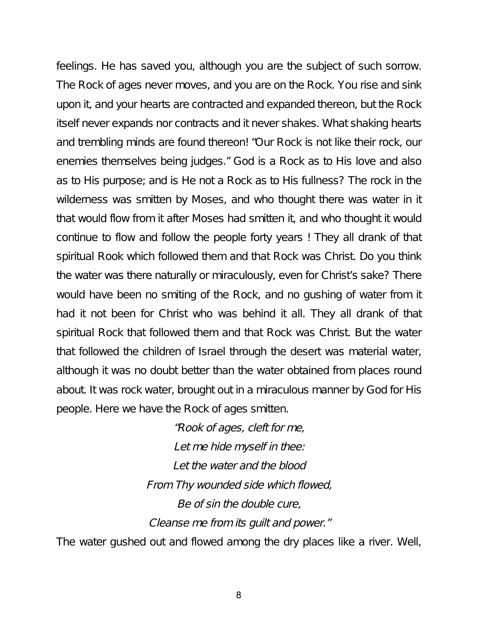feelings. He has saved you, although you are the subject of such sorrow. The Rock of ages never moves, and you are on the Rock. You rise and sink upon it, and your hearts are contracted and expanded thereon, but the Rock itself never expands nor contracts and it never shakes. What shaking hearts and trembling minds are found thereon! "Our Rock is not like their rock, our enemies themselves being judges." God is a Rock as to His love and also as to His purpose; and is He not a Rock as to His fullness? The rock in the wilderness was smitten by Moses, and who thought there was water in it that would flow from it after Moses had smitten it, and who thought it would continue to flow and follow the people forty years ! They all drank of that spiritual Rook which followed them and that Rock was Christ. Do you think the water was there naturally or miraculously, even for Christ's sake? There would have been no smiting of the Rock, and no gushing of water from it had it not been for Christ who was behind it all. They all drank of that spiritual Rock that followed them and that Rock was Christ. But the water that followed the children of Israel through the desert was material water, although it was no doubt better than the water obtained from places round about. It was rock water, brought out in a miraculous manner by God for His people. Here we have the Rock of ages smitten.

> "Rook of ages, cleft for me, Let me hide myself in thee: Let the water and the blood From Thy wounded side which flowed, Be of sin the double cure, Cleanse me from its guilt and power."

The water gushed out and flowed among the dry places like a river. Well,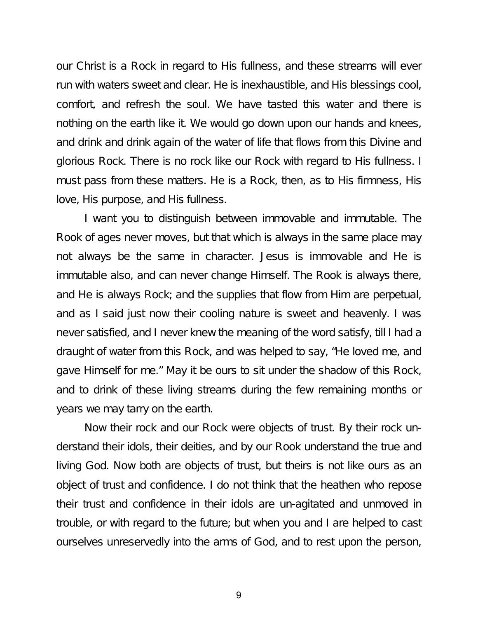our Christ is a Rock in regard to His fullness, and these streams will ever run with waters sweet and clear. He is inexhaustible, and His blessings cool, comfort, and refresh the soul. We have tasted this water and there is nothing on the earth like it. We would go down upon our hands and knees, and drink and drink again of the water of life that flows from this Divine and glorious Rock. There is no rock like our Rock with regard to His fullness. I must pass from these matters. He is a Rock, then, as to His firmness, His love, His purpose, and His fullness.

I want you to distinguish between immovable and immutable. The Rook of ages never moves, but that which is always in the same place may not always be the same in character. Jesus is immovable and He is immutable also, and can never change Himself. The Rook is always there, and He is always Rock; and the supplies that flow from Him are perpetual, and as I said just now their cooling nature is sweet and heavenly. I was never satisfied, and I never knew the meaning of the word satisfy, till I had a draught of water from this Rock, and was helped to say, "He loved me, and gave Himself for me." May it be ours to sit under the shadow of this Rock, and to drink of these living streams during the few remaining months or years we may tarry on the earth.

Now their rock and our Rock were objects of trust. By their rock understand their idols, their deities, and by our Rook understand the true and living God. Now both are objects of trust, but theirs is not like ours as an object of trust and confidence. I do not think that the heathen who repose their trust and confidence in their idols are un-agitated and unmoved in trouble, or with regard to the future; but when you and I are helped to cast ourselves unreservedly into the arms of God, and to rest upon the person,

9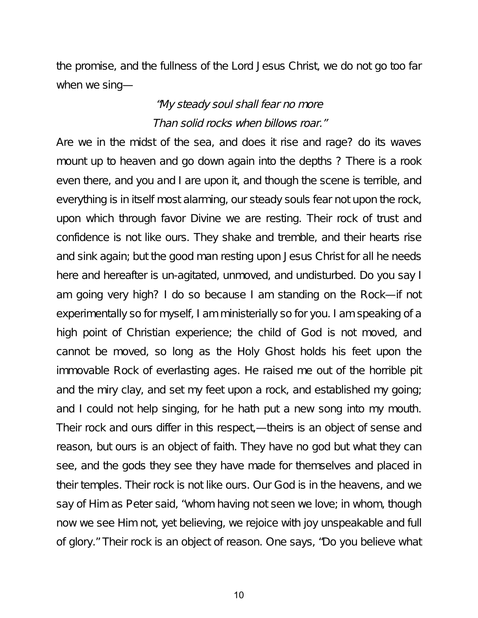the promise, and the fullness of the Lord Jesus Christ, we do not go too far when we sing—

### "My steady soul shall fear no more Than solid rocks when billows roar."

Are we in the midst of the sea, and does it rise and rage? do its waves mount up to heaven and go down again into the depths ? There is a rook even there, and you and I are upon it, and though the scene is terrible, and everything is in itself most alarming, our steady souls fear not upon the rock, upon which through favor Divine we are resting. Their rock of trust and confidence is not like ours. They shake and tremble, and their hearts rise and sink again; but the good man resting upon Jesus Christ for all he needs here and hereafter is un-agitated, unmoved, and undisturbed. Do you say I am going very high? I do so because I am standing on the Rock—if not experimentally so for myself, I am ministerially so for you. I am speaking of a high point of Christian experience; the child of God is not moved, and cannot be moved, so long as the Holy Ghost holds his feet upon the immovable Rock of everlasting ages. He raised me out of the horrible pit and the miry clay, and set my feet upon a rock, and established my going; and I could not help singing, for he hath put a new song into my mouth. Their rock and ours differ in this respect,—theirs is an object of sense and reason, but ours is an object of faith. They have no god but what they can see, and the gods they see they have made for themselves and placed in their temples. Their rock is not like ours. Our God is in the heavens, and we say of Him as Peter said, "whom having not seen we love; in whom, though now we see Him not, yet believing, we rejoice with joy unspeakable and full of glory." Their rock is an object of reason. One says, "Do you believe what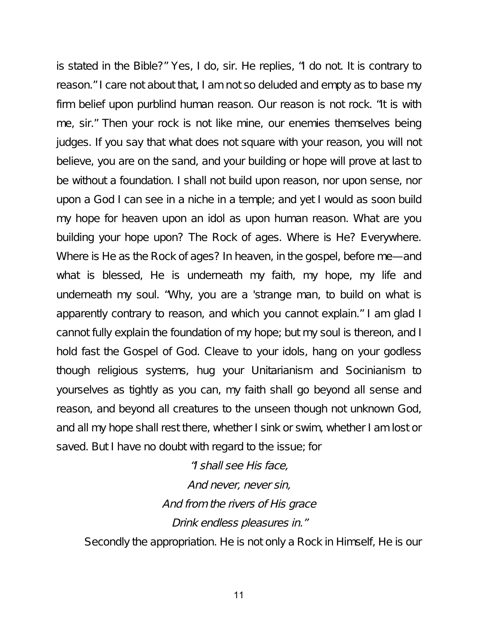is stated in the Bible?" Yes, I do, sir. He replies, "I do not. It is contrary to reason." I care not about that, I am not so deluded and empty as to base my firm belief upon purblind human reason. Our reason is not rock. "It is with me, sir." Then your rock is not like mine, our enemies themselves being judges. If you say that what does not square with your reason, you will not believe, you are on the sand, and your building or hope will prove at last to be without a foundation. I shall not build upon reason, nor upon sense, nor upon a God I can see in a niche in a temple; and yet I would as soon build my hope for heaven upon an idol as upon human reason. What are you building your hope upon? The Rock of ages. Where is He? Everywhere. Where is He as the Rock of ages? In heaven, in the gospel, before me—and what is blessed, He is underneath my faith, my hope, my life and underneath my soul. "Why, you are a 'strange man, to build on what is apparently contrary to reason, and which you cannot explain." I am glad I cannot fully explain the foundation of my hope; but my soul is thereon, and I hold fast the Gospel of God. Cleave to your idols, hang on your godless though religious systems, hug your Unitarianism and Socinianism to yourselves as tightly as you can, my faith shall go beyond all sense and reason, and beyond all creatures to the unseen though not unknown God, and all my hope shall rest there, whether I sink or swim, whether I am lost or saved. But I have no doubt with regard to the issue; for

> "I shall see His face, And never, never sin, And from the rivers of His grace Drink endless pleasures in."

Secondly the appropriation. He is not only a Rock in Himself, He is our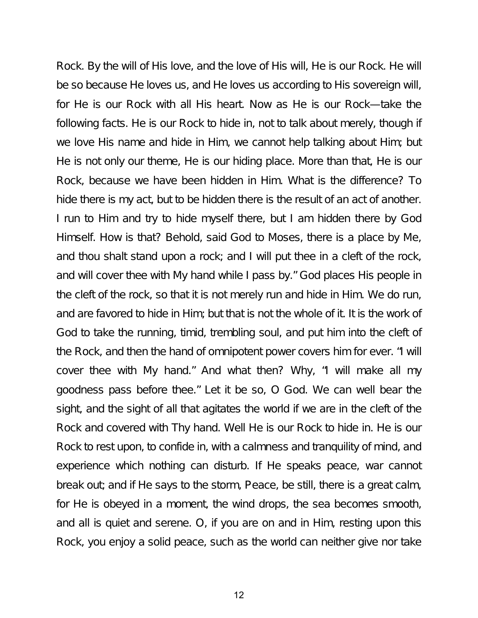Rock. By the will of His love, and the love of His will, He is our Rock. He will be so because He loves us, and He loves us according to His sovereign will, for He is our Rock with all His heart. Now as He is our Rock—take the following facts. He is our Rock to hide in, not to talk about merely, though if we love His name and hide in Him, we cannot help talking about Him; but He is not only our theme, He is our hiding place. More than that, He is our Rock, because we have been hidden in Him. What is the difference? To hide there is my act, but to be hidden there is the result of an act of another. I run to Him and try to hide myself there, but I am hidden there by God Himself. How is that? Behold, said God to Moses, there is a place by Me, and thou shalt stand upon a rock; and I will put thee in a cleft of the rock, and will cover thee with My hand while I pass by." God places His people in the cleft of the rock, so that it is not merely run and hide in Him. We do run, and are favored to hide in Him; but that is not the whole of it. It is the work of God to take the running, timid, trembling soul, and put him into the cleft of the Rock, and then the hand of omnipotent power covers him for ever. "I will cover thee with My hand." And what then? Why, "I will make all my goodness pass before thee." Let it be so, O God. We can well bear the sight, and the sight of all that agitates the world if we are in the cleft of the Rock and covered with Thy hand. Well He is our Rock to hide in. He is our Rock to rest upon, to confide in, with a calmness and tranquility of mind, and experience which nothing can disturb. If He speaks peace, war cannot break out; and if He says to the storm, Peace, be still, there is a great calm, for He is obeyed in a moment, the wind drops, the sea becomes smooth, and all is quiet and serene. O, if you are on and in Him, resting upon this Rock, you enjoy a solid peace, such as the world can neither give nor take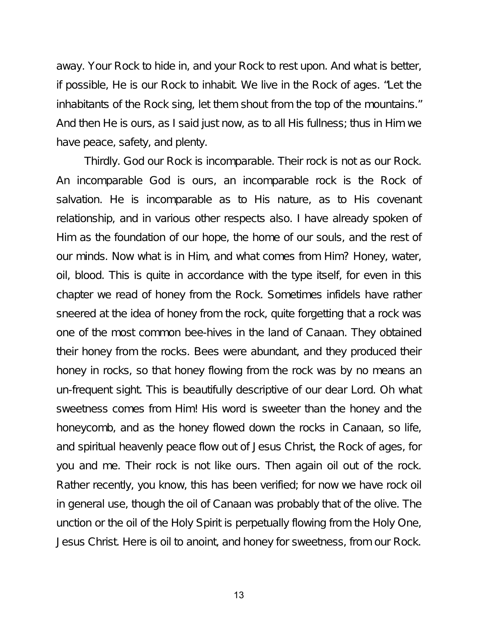away. Your Rock to hide in, and your Rock to rest upon. And what is better, if possible, He is our Rock to inhabit. We live in the Rock of ages. "Let the inhabitants of the Rock sing, let them shout from the top of the mountains." And then He is ours, as I said just now, as to all His fullness; thus in Him we have peace, safety, and plenty.

Thirdly. God our Rock is incomparable. Their rock is not as our Rock. An incomparable God is ours, an incomparable rock is the Rock of salvation. He is incomparable as to His nature, as to His covenant relationship, and in various other respects also. I have already spoken of Him as the foundation of our hope, the home of our souls, and the rest of our minds. Now what is in Him, and what comes from Him? Honey, water, oil, blood. This is quite in accordance with the type itself, for even in this chapter we read of honey from the Rock. Sometimes infidels have rather sneered at the idea of honey from the rock, quite forgetting that a rock was one of the most common bee-hives in the land of Canaan. They obtained their honey from the rocks. Bees were abundant, and they produced their honey in rocks, so that honey flowing from the rock was by no means an un-frequent sight. This is beautifully descriptive of our dear Lord. Oh what sweetness comes from Him! His word is sweeter than the honey and the honeycomb, and as the honey flowed down the rocks in Canaan, so life, and spiritual heavenly peace flow out of Jesus Christ, the Rock of ages, for you and me. Their rock is not like ours. Then again oil out of the rock. Rather recently, you know, this has been verified; for now we have rock oil in general use, though the oil of Canaan was probably that of the olive. The unction or the oil of the Holy Spirit is perpetually flowing from the Holy One, Jesus Christ. Here is oil to anoint, and honey for sweetness, from our Rock.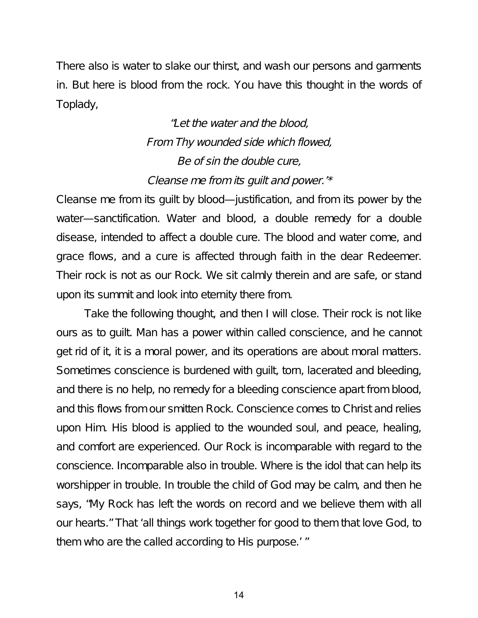There also is water to slake our thirst, and wash our persons and garments in. But here is blood from the rock. You have this thought in the words of Toplady,

> "Let the water and the blood, From Thy wounded side which flowed, Be of sin the double cure, Cleanse me from its guilt and power.'\*

Cleanse me from its guilt by blood—justification, and from its power by the water—sanctification. Water and blood, a double remedy for a double disease, intended to affect a double cure. The blood and water come, and grace flows, and a cure is affected through faith in the dear Redeemer. Their rock is not as our Rock. We sit calmly therein and are safe, or stand upon its summit and look into eternity there from.

Take the following thought, and then I will close. Their rock is not like ours as to guilt. Man has a power within called conscience, and he cannot get rid of it, it is a moral power, and its operations are about moral matters. Sometimes conscience is burdened with guilt, torn, lacerated and bleeding, and there is no help, no remedy for a bleeding conscience apart from blood, and this flows from our smitten Rock. Conscience comes to Christ and relies upon Him. His blood is applied to the wounded soul, and peace, healing, and comfort are experienced. Our Rock is incomparable with regard to the conscience. Incomparable also in trouble. Where is the idol that can help its worshipper in trouble. In trouble the child of God may be calm, and then he says, "My Rock has left the words on record and we believe them with all our hearts." That 'all things work together for good to them that love God, to them who are the called according to His purpose.' "